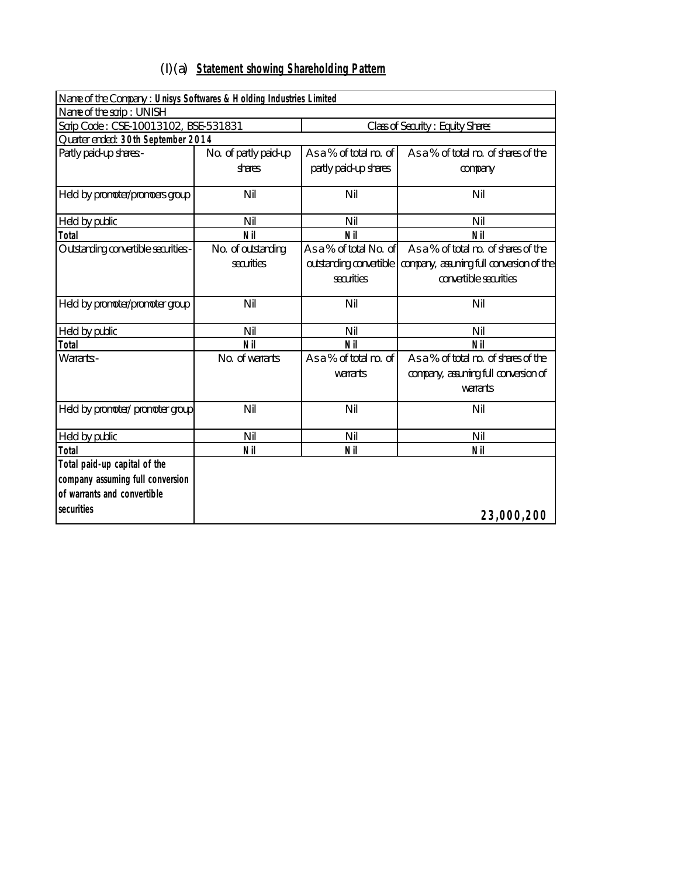## (I)(a) **Statement showing Shareholding Pattern**

| Name of the Company : Unisys Softwares & Holding Industries Limited             |                       |                         |                                          |  |  |  |  |  |
|---------------------------------------------------------------------------------|-----------------------|-------------------------|------------------------------------------|--|--|--|--|--|
| Name of the scrip: UNISH                                                        |                       |                         |                                          |  |  |  |  |  |
| Scrip Code: CSE-10013102, BSE-531831<br><b>Class of Security: Equity Shares</b> |                       |                         |                                          |  |  |  |  |  |
| Quarter ended: 30th September 2014                                              |                       |                         |                                          |  |  |  |  |  |
| Partly paid-up shares:-                                                         | No. of partly paid-up | As a % of total no. of  | As a % of total no. of shares of the     |  |  |  |  |  |
|                                                                                 | shares                | partly paid-up shares   | company                                  |  |  |  |  |  |
| Held by promoter/promoers group                                                 | Nil                   | Nil                     | Nil                                      |  |  |  |  |  |
| Held by public                                                                  | Nil                   | Nil                     | Nil                                      |  |  |  |  |  |
| <b>Total</b>                                                                    | <b>Nil</b>            | <b>Nil</b>              | <b>Nil</b>                               |  |  |  |  |  |
| Outstanding convertible securities:-                                            | No. of outstanding    | As a % of total No. of  | As a % of total no. of shares of the     |  |  |  |  |  |
|                                                                                 | securities            | outstanding convertible | company, assuming full conversion of the |  |  |  |  |  |
|                                                                                 |                       | securities              | convertible securities                   |  |  |  |  |  |
| Held by promoter/promoter group                                                 | Nil                   | Nil                     | Nil                                      |  |  |  |  |  |
| Held by public                                                                  | Nil                   | Nil                     | Nil                                      |  |  |  |  |  |
| <b>Total</b>                                                                    | <b>Nil</b>            | <b>Nil</b>              | <b>Nil</b>                               |  |  |  |  |  |
| Warrants:-                                                                      | No. of warrants       | As a % of total no. of  | As a % of total no. of shares of the     |  |  |  |  |  |
|                                                                                 |                       | warrants                | company, assuming full conversion of     |  |  |  |  |  |
|                                                                                 |                       |                         | warrants                                 |  |  |  |  |  |
| Held by promoter/ promoter group                                                | Nil                   | Nil                     | Nil                                      |  |  |  |  |  |
| Held by public                                                                  | Nil                   | Nil                     | Nil                                      |  |  |  |  |  |
| <b>Total</b>                                                                    | <b>Nil</b>            | <b>Nil</b>              | <b>Nil</b>                               |  |  |  |  |  |
| Total paid-up capital of the                                                    |                       |                         |                                          |  |  |  |  |  |
| company assuming full conversion                                                |                       |                         |                                          |  |  |  |  |  |
| of warrants and convertible                                                     |                       |                         |                                          |  |  |  |  |  |
| securities                                                                      |                       |                         | 23,000,200                               |  |  |  |  |  |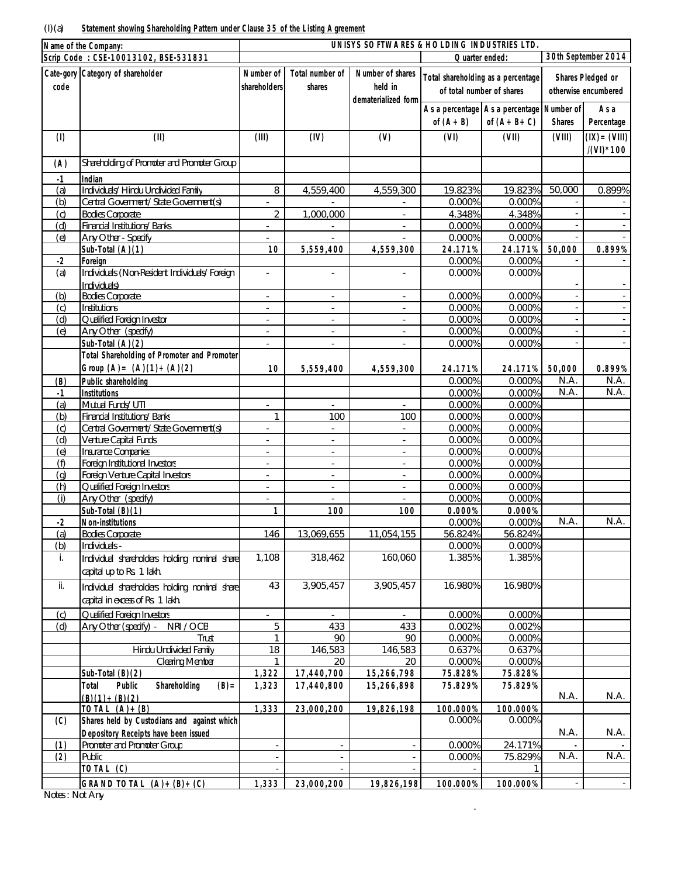|            | Name of the Company:                                                       |                                  |                                  | UNISYS SOFTWARES & HOLDING INDUSTRIES LTD. |                                                                 |                                                                 |               |                                                  |
|------------|----------------------------------------------------------------------------|----------------------------------|----------------------------------|--------------------------------------------|-----------------------------------------------------------------|-----------------------------------------------------------------|---------------|--------------------------------------------------|
|            | Scrip Code: CSE-10013102, BSE-531831                                       |                                  |                                  |                                            | Quarter ended:                                                  |                                                                 |               | 30th September 2014                              |
| code       | Cate-gory Category of shareholder                                          | <b>Number of</b><br>shareholders | <b>Total number of</b><br>shares | Number of shares<br>held in                | Total shareholding as a percentage<br>of total number of shares |                                                                 |               | <b>Shares Pledged or</b><br>otherwise encumbered |
|            |                                                                            |                                  |                                  | dematerialized form                        | of $(A+B)$                                                      | As a percentage   As a percentage   Number of  <br>of $(A+B+C)$ | <b>Shares</b> | As a<br>Percentage                               |
| (1)        | (II)                                                                       | (III)                            | (IV)                             | (V)                                        | (VI)                                                            | (VII)                                                           | (VIII)        | $(IX) = (VIII)$                                  |
| (A)        | Shareholding of Promoter and Promoter Group                                |                                  |                                  |                                            |                                                                 |                                                                 |               | /(VI) * 100                                      |
|            |                                                                            |                                  |                                  |                                            |                                                                 |                                                                 |               |                                                  |
| $-1$       | <b>Indian</b>                                                              |                                  |                                  |                                            |                                                                 |                                                                 |               |                                                  |
| (a)        | Individuals/ Hindu Undivided Family                                        | 8                                | 4,559,400                        | 4,559,300                                  | 19.823%                                                         | 19.823%                                                         | 50,000        | 0.899%                                           |
| (b)<br>(c) | Central Government/ State Government(s)<br><b>Bodies Corporate</b>         | $\sim$<br>$\overline{2}$         | 1,000,000                        |                                            | 0.000%<br>4.348%                                                | 0.000%<br>4.348%                                                |               |                                                  |
| (d)        | Financial Institutions/ Banks                                              |                                  |                                  | $\overline{\phantom{a}}$                   | 0.000%                                                          | 0.000%                                                          |               |                                                  |
| (e)        | Any Other - Specify                                                        |                                  |                                  |                                            | 0.000%                                                          | 0.000%                                                          |               |                                                  |
|            | Sub-Total (A)(1)                                                           | 10                               | 5,559,400                        | 4,559,300                                  | 24.171%                                                         | 24.171%                                                         | 50,000        | 0.899%                                           |
| $-2$       | <b>Foreign</b>                                                             |                                  |                                  |                                            | 0.000%                                                          | 0.000%                                                          |               |                                                  |
| (a)        | Individuals (Non-Resident Individuals/ Foreign<br>Individuals)             | $\overline{\phantom{a}}$         | $\mathbf{r}$                     | $\blacksquare$                             | 0.000%                                                          | 0.000%                                                          |               |                                                  |
| (b)        | <b>Bodies Corporate</b>                                                    | $\overline{a}$                   | $\mathcal{L}$                    | $\mathbb{L}$                               | 0.000%                                                          | 0.000%                                                          |               |                                                  |
| (c)        | Institutions                                                               | $\overline{\phantom{a}}$         | $\sim$                           | $\overline{\phantom{a}}$                   | 0.000%                                                          | 0.000%                                                          |               |                                                  |
| (d)        | Qualified Foreign Investor                                                 | $\overline{a}$                   | $\overline{\phantom{a}}$         |                                            | 0.000%                                                          | 0.000%                                                          |               |                                                  |
| (e)        | Any Other (specify)                                                        | $\overline{a}$                   | $\overline{\phantom{a}}$         | $\overline{\phantom{a}}$                   | 0.000%                                                          | 0.000%                                                          |               |                                                  |
|            | Sub-Total $(A)(2)$                                                         |                                  |                                  |                                            | 0.000%                                                          | 0.000%                                                          |               |                                                  |
|            | Total Shareholding of Promoter and Promoter                                |                                  |                                  |                                            |                                                                 |                                                                 |               |                                                  |
|            | Group $(A) = (A)(1) + (A)(2)$                                              | 10                               | 5,559,400                        | 4,559,300                                  | 24.171%                                                         | 24.171%                                                         | 50,000        | 0.899%                                           |
| (B)        | <b>Public shareholding</b>                                                 |                                  |                                  |                                            | 0.000%                                                          | 0.000%                                                          | N.A.          | N.A.                                             |
| $-1$       | <b>Institutions</b>                                                        |                                  |                                  |                                            | 0.000%                                                          | 0.000%                                                          | N.A.          | N.A.                                             |
| (a)        | Mutual Funds/ UTI                                                          | $\overline{\phantom{a}}$         | $\sim$                           |                                            | 0.000%                                                          | 0.000%                                                          |               |                                                  |
| (b)        | Financial Institutions/ Banks                                              | 1                                | 100                              | 100                                        | 0.000%                                                          | 0.000%                                                          |               |                                                  |
| (c)        | Central Government/ State Government(s)                                    | $\sim$                           | $\sim$                           | $\blacksquare$                             | 0.000%                                                          | 0.000%                                                          |               |                                                  |
| (d)        | Venture Capital Funds                                                      | $\sim$                           | $\overline{\phantom{a}}$         | $\overline{\phantom{a}}$                   | 0.000%                                                          | 0.000%                                                          |               |                                                  |
| (e)        | <b>Insurance Companies</b>                                                 |                                  |                                  |                                            | 0.000%                                                          | 0.000%                                                          |               |                                                  |
| (f)        | Foreign Institutional Investors                                            | $\overline{a}$                   | L,                               | $\overline{a}$                             | 0.000%                                                          | 0.000%                                                          |               |                                                  |
| (q)<br>(h) | Foreign Venture Capital Investors<br>Qualified Foreign Investors           | $\overline{\phantom{a}}$         | $\blacksquare$                   | $\blacksquare$                             | 0.000%<br>0.000%                                                | 0.000%<br>0.000%                                                |               |                                                  |
| (i)        | Any Other (specify)                                                        | L.                               | $\overline{\phantom{a}}$         | $\overline{\phantom{a}}$                   | 0.000%                                                          | 0.000%                                                          |               |                                                  |
|            | Sub-Total (B)(1)                                                           | 1                                | 100                              | 100                                        | 0.000%                                                          | 0.000%                                                          |               |                                                  |
| $-2$       | <b>Non-institutions</b>                                                    |                                  |                                  |                                            | 0.000%                                                          | 0.000%                                                          | N.A.          | N.A.                                             |
| (a)        | <b>Bodies Corporate</b>                                                    | 146                              | 13.069.655                       | 11.054.155                                 | 56.824%                                                         | 56.824%                                                         |               |                                                  |
| (b)        | Individuals -                                                              |                                  |                                  |                                            | 0.000%                                                          | 0.000%                                                          |               |                                                  |
| i.         | Individual shareholders holding nominal share<br>capital up to Rs. 1 lakh. | 1,108                            | 318,462                          | 160,060                                    | 1.385%                                                          | 1.385%                                                          |               |                                                  |
| ii.        | Individual shareholders holding nominal share                              | 43                               | 3,905,457                        | 3,905,457                                  | 16.980%                                                         | 16.980%                                                         |               |                                                  |
|            | capital in excess of Rs. 1 lakh.                                           |                                  |                                  |                                            |                                                                 |                                                                 |               |                                                  |
| (c)        | Qualified Foreign Investors                                                | $\overline{a}$                   | $\sim$                           | $\mathbf{r}$                               | 0.000%                                                          | 0.000%                                                          |               |                                                  |
| (d)        | Any Other (specify) -<br>NRI / OCB<br>Trust                                | 5<br>1                           | 433<br>90                        | 433<br>90                                  | 0.002%<br>0.000%                                                | 0.002%<br>0.000%                                                |               |                                                  |
|            | <b>Hindu Undivided Family</b>                                              | 18                               | 146,583                          | 146,583                                    | 0.637%                                                          | 0.637%                                                          |               |                                                  |
|            | <b>Clearing Member</b>                                                     | $\mathbf{1}$                     | 20                               | 20                                         | 0.000%                                                          | 0.000%                                                          |               |                                                  |
|            | Sub-Total (B)(2)                                                           | 1,322                            | 17,440,700                       | 15,266,798                                 | 75.828%                                                         | 75.828%                                                         |               |                                                  |
|            | <b>Public</b><br>Shareholding<br><b>Total</b><br>$(B) =$                   | 1,323                            | 17,440,800                       | 15,266,898                                 | 75.829%                                                         | 75.829%                                                         |               |                                                  |
|            | $(B)(1) + (B)(2)$                                                          |                                  |                                  |                                            |                                                                 |                                                                 | N.A.          | N.A.                                             |
|            | TOTAL $(A)+(B)$                                                            | 1,333                            | 23,000,200                       | 19,826,198                                 | 100.000%                                                        | 100.000%                                                        |               |                                                  |
| (C)        | Shares held by Custodians and against which                                |                                  |                                  |                                            | 0.000%                                                          | 0.000%                                                          |               |                                                  |
|            | Depository Receipts have been issued                                       |                                  |                                  |                                            |                                                                 |                                                                 | N.A.          | N.A.                                             |
| (1)        | Promoter and Promoter Group                                                |                                  | $\overline{\phantom{a}}$         |                                            | 0.000%                                                          | 24.171%                                                         |               |                                                  |
| (2)        | Public                                                                     |                                  |                                  |                                            | 0.000%                                                          | 75.829%                                                         | N.A.          | N.A.                                             |
|            | TOTAL (C)                                                                  |                                  |                                  |                                            |                                                                 |                                                                 |               |                                                  |
|            | GRAND TOTAL $(A)+(B)+(C)$                                                  | 1,333                            | 23,000,200                       | 19,826,198                                 | 100.000%                                                        | 100.000%                                                        |               |                                                  |

.

Notes : Not Any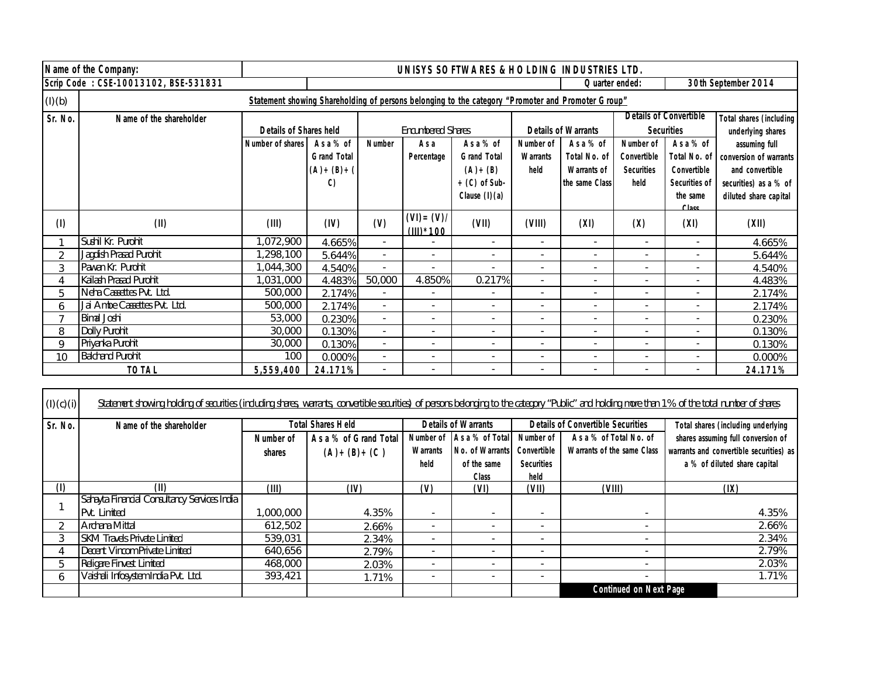|         | Name of the Company:                 | UNISYS SOFTWARES & HOLDING INDUSTRIES LTD. |                                                        |                          |                              |                                                                                                   |                                             |                                                                          |                                                              |                                                                                                    |                                                                                                              |
|---------|--------------------------------------|--------------------------------------------|--------------------------------------------------------|--------------------------|------------------------------|---------------------------------------------------------------------------------------------------|---------------------------------------------|--------------------------------------------------------------------------|--------------------------------------------------------------|----------------------------------------------------------------------------------------------------|--------------------------------------------------------------------------------------------------------------|
|         | Scrip Code: CSE-10013102, BSE-531831 | 30th September 2014<br>Quarter ended:      |                                                        |                          |                              |                                                                                                   |                                             |                                                                          |                                                              |                                                                                                    |                                                                                                              |
| (l)(b)  |                                      |                                            |                                                        |                          |                              | Statement showing Shareholding of persons belonging to the category "Promoter and Promoter Group" |                                             |                                                                          |                                                              |                                                                                                    |                                                                                                              |
| Sr. No. | Name of the shareholder              | <b>Details of Shares held</b>              |                                                        |                          | <b>Encumbered Shares</b>     |                                                                                                   |                                             | <b>Details of Warrants</b>                                               |                                                              | <b>Details of Convertible</b><br><b>Securities</b>                                                 | <b>Total shares (including)</b><br>underlying shares                                                         |
|         |                                      | <b>Number of shares</b>                    | As a % of<br><b>Grand Total</b><br>$(A)+(B)+(A)$<br>C) | <b>Number</b>            | As a<br>Percentage           | As a % of<br><b>Grand Total</b><br>$(A)+(B)$<br>$+(C)$ of Sub-<br>Clause $(l)(a)$                 | <b>Number of</b><br><b>Warrants</b><br>held | As a % of<br><b>Total No. of</b><br><b>Warrants of</b><br>the same Class | Number of<br><b>Convertible</b><br><b>Securities</b><br>held | As a % of<br><b>Total No. of</b><br><b>Convertible</b><br><b>Securities of</b><br>the same<br>2261 | assuming full<br>conversion of warrants<br>and convertible<br>securities) as a % of<br>diluted share capital |
| (1)     | (II)                                 | (III)                                      | (IV)                                                   | (V)                      | $(VI) = (V)I$<br>(III) * 100 | (VII)                                                                                             | (VIII)                                      | (XI)                                                                     | (X)                                                          | (XI)                                                                                               | (XII)                                                                                                        |
|         | Sushil Kr. Purohit                   | 1,072,900                                  | 4.665%                                                 | $\sim$                   |                              | $\overline{\phantom{a}}$                                                                          | $\sim$                                      | $\overline{\phantom{a}}$                                                 | $\overline{\phantom{a}}$                                     | $\sim$                                                                                             | 4.665%                                                                                                       |
| 2       | Jagdish Prasad Purohit               | ,298,100                                   | 5.644%                                                 | $\sim$                   | $\sim$                       | $\sim$                                                                                            | $\sim$                                      |                                                                          | $\sim$                                                       | $\sim$                                                                                             | 5.644%                                                                                                       |
| 3       | Pawan Kr. Purohit                    | 1,044,300                                  | 4.540%                                                 |                          |                              |                                                                                                   |                                             |                                                                          | $\sim$                                                       | ٠                                                                                                  | 4.540%                                                                                                       |
| 4       | Kailash Prasad Purohit               | 1,031,000                                  | 4.483%                                                 | 50,000                   | 4.850%                       | 0.217%                                                                                            |                                             |                                                                          | $\blacksquare$                                               | ٠                                                                                                  | 4.483%                                                                                                       |
| 5       | Neha Cassettes Pvt. Ltd.             | 500,000                                    | 2.174%                                                 | ÷.                       |                              | $\blacksquare$                                                                                    |                                             |                                                                          |                                                              | ٠                                                                                                  | 2.174%                                                                                                       |
| 6       | Jai Ambe Cassettes Pvt. Ltd.         | 500,000                                    | 2.174%                                                 | $\blacksquare$           |                              | $\blacksquare$                                                                                    | $\sim$                                      |                                                                          | $\blacksquare$                                               | ٠                                                                                                  | 2.174%                                                                                                       |
| 7       | <b>Bimal Joshi</b>                   | 53,000                                     | 0.230%                                                 | $\sim$                   |                              |                                                                                                   |                                             |                                                                          |                                                              | ٠                                                                                                  | 0.230%                                                                                                       |
| 8       | Dolly Purohit                        | 30,000                                     | 0.130%                                                 | $\sim$                   |                              |                                                                                                   |                                             |                                                                          | $\sim$                                                       |                                                                                                    | 0.130%                                                                                                       |
| 9       | Priyanka Purohit                     | 30,000                                     | 0.130%                                                 | $\overline{\phantom{a}}$ |                              |                                                                                                   |                                             |                                                                          | $\sim$                                                       | ٠                                                                                                  | 0.130%                                                                                                       |
| 10      | <b>Balchand Purohit</b>              | 100                                        | $0.000\%$                                              | $\sim$                   |                              | ٠                                                                                                 | $\overline{\phantom{a}}$                    |                                                                          | $\sim$                                                       | $\overline{\phantom{a}}$                                                                           | 0.000%                                                                                                       |
|         | <b>TOTAL</b>                         | 5,559,400                                  | 24.171%                                                | ٠                        |                              |                                                                                                   |                                             |                                                                          |                                                              |                                                                                                    | 24.171%                                                                                                      |

| (I)(c)(i) | Statement showing holding of securities (including shares, warrants, convertible securities) of persons belonging to the category "Public" and holding more than 1% of the total number of shares |                  |                          |                          |                            |                          |                                          |                                         |
|-----------|---------------------------------------------------------------------------------------------------------------------------------------------------------------------------------------------------|------------------|--------------------------|--------------------------|----------------------------|--------------------------|------------------------------------------|-----------------------------------------|
| Sr. No.   | Name of the shareholder                                                                                                                                                                           |                  | <b>Total Shares Held</b> |                          | <b>Details of Warrants</b> |                          | <b>Details of Convertible Securities</b> | Total shares (including underlying      |
|           |                                                                                                                                                                                                   | <b>Number of</b> | As a % of Grand Total    | Number of                | As a % of Total            | Number of                | As a % of Total No. of                   | shares assuming full conversion of      |
|           |                                                                                                                                                                                                   | shares           | $(A)+(B)+(C)$            | <b>Warrants</b>          | No. of Warrants            | <b>Convertible</b>       | <b>Warrants of the same Class</b>        | warrants and convertible securities) as |
|           |                                                                                                                                                                                                   |                  |                          | held                     | of the same                | <b>Securities</b>        |                                          | a % of diluted share capital            |
|           |                                                                                                                                                                                                   |                  |                          |                          | <b>Class</b>               | held                     |                                          |                                         |
| (1)       | (II)                                                                                                                                                                                              | (III)            | (IV)                     | $\omega$                 | (VI)                       | (VII)                    | (VIII)                                   | (IX)                                    |
|           | Sahayta Financial Consultancy Services India                                                                                                                                                      |                  |                          |                          |                            |                          |                                          |                                         |
|           | Pvt. Limited                                                                                                                                                                                      | 1,000,000        | 4.35%                    | $\overline{\phantom{a}}$ | $\overline{\phantom{a}}$   | $\overline{\phantom{a}}$ | $\overline{\phantom{0}}$                 | 4.35%                                   |
|           | Archana Mittal                                                                                                                                                                                    | 612,502          | 2.66%                    | $\overline{a}$           | $\overline{a}$             | $\overline{\phantom{0}}$ |                                          | 2.66%                                   |
| 3         | <b>SKM Travels Private Limited</b>                                                                                                                                                                | 539,031          | 2.34%                    | $\overline{\phantom{a}}$ |                            | $\overline{\phantom{0}}$ |                                          | 2.34%                                   |
|           | Decent Vincom Private Limited                                                                                                                                                                     | 640,656          | 2.79%                    | $\overline{\phantom{a}}$ |                            | $\overline{\phantom{0}}$ |                                          | 2.79%                                   |
| 5.        | Religare Finvest Limited                                                                                                                                                                          | 468,000          | 2.03%                    | $\overline{\phantom{a}}$ |                            |                          |                                          | 2.03%                                   |
| 6         | Vaishali Infosystem India Pvt. Ltd.                                                                                                                                                               | 393,421          | 1.71%                    | $\overline{\phantom{a}}$ |                            | $\overline{\phantom{0}}$ |                                          | 1.71%                                   |
|           |                                                                                                                                                                                                   |                  |                          |                          |                            |                          | <b>Continued on Next Page</b>            |                                         |

 $\mathsf{\Gamma}$ 

─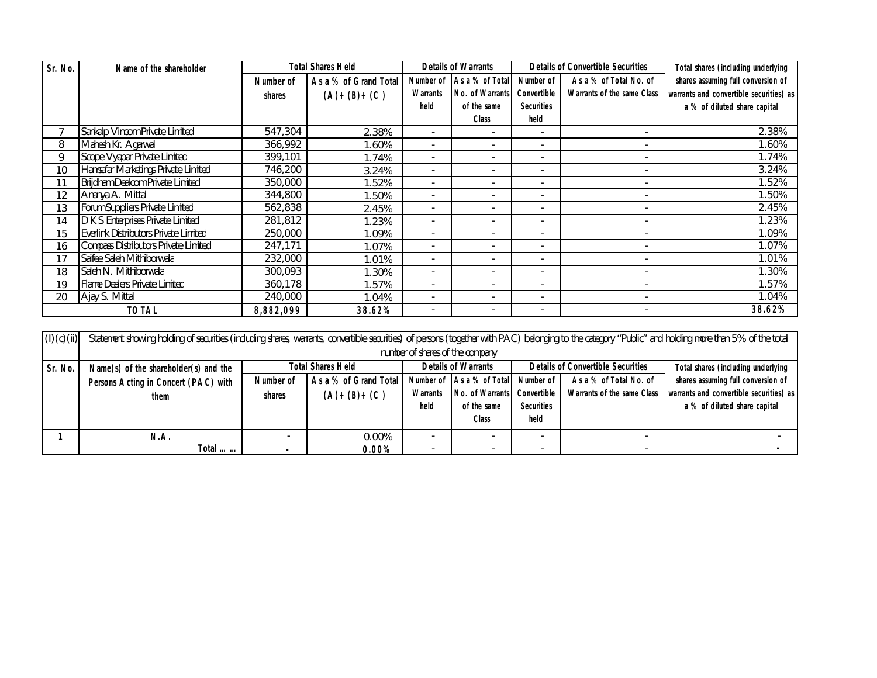| Sr. No. | Name of the shareholder                     | <b>Total Shares Held</b> |                       | <b>Details of Warrants</b> |                           |                          | <b>Details of Convertible Securities</b> | Total shares (including underlying      |
|---------|---------------------------------------------|--------------------------|-----------------------|----------------------------|---------------------------|--------------------------|------------------------------------------|-----------------------------------------|
|         |                                             | Number of                | As a % of Grand Total |                            | Number of As a % of Total | Number of                | As a % of Total No. of                   | shares assuming full conversion of      |
|         |                                             | shares                   | $(A)+(B)+(C)$         | Warrants                   | <b>No. of Warrants</b>    | Convertible              | <b>Warrants of the same Class</b>        | warrants and convertible securities) as |
|         |                                             |                          |                       | held                       | of the same               | <b>Securities</b>        |                                          | a % of diluted share capital            |
|         |                                             |                          |                       |                            | <b>Class</b>              | held                     |                                          |                                         |
|         | Sankalp Vincom Private Limited              | 547,304                  | 2.38%                 | $\overline{\phantom{0}}$   | $\overline{\phantom{a}}$  | $\overline{\phantom{a}}$ | $\sim$                                   | 2.38%                                   |
| 8       | Mahesh Kr. Agarwal                          | 366,992                  | 1.60%                 |                            | ٠                         |                          |                                          | 1.60%                                   |
| 9       | Scope Vyapar Private Limited                | 399,101                  | 1.74%                 | ٠                          | $\overline{\phantom{a}}$  | $\blacksquare$           | $\sim$                                   | 1.74%                                   |
| 10      | Hamsafar Marketings Private Limited         | 746,200                  | 3.24%                 |                            |                           | $\blacksquare$           | $\sim$                                   | 3.24%                                   |
| 11      | Brijdham Dealcom Private Limited            | 350,000                  | 1.52%                 |                            |                           |                          |                                          | 1.52%                                   |
| 12      | Ananya A. Mittal                            | 344,800                  | 1.50%                 |                            |                           |                          | $\sim$                                   | 1.50%                                   |
| 13      | Forum Suppliers Private Limited             | 562,838                  | 2.45%                 |                            | $\overline{\phantom{a}}$  |                          | $\sim$                                   | 2.45%                                   |
| 14      | D K S Enterprises Private Limited           | 281,812                  | 1.23%                 |                            | ٠                         |                          | $\overline{\phantom{a}}$                 | 1.23%                                   |
| 15      | Everlink Distributors Private Limited       | 250,000                  | 1.09%                 |                            |                           |                          | $\sim$                                   | 1.09%                                   |
| 16      | <b>Compass Distributors Private Limited</b> | 247,171                  | 1.07%                 |                            | $\overline{\phantom{a}}$  | $\overline{\phantom{a}}$ | $\sim$                                   | 1.07%                                   |
| 17      | Saifee Saleh Mithiborwala                   | 232,000                  | 1.01%                 |                            |                           | $\overline{\phantom{a}}$ | $\sim$                                   | 1.01%                                   |
| 18      | Saleh N. Mithiborwala                       | 300,093                  | 1.30%                 |                            |                           |                          | $\sim$                                   | 1.30%                                   |
| 19      | <b>Flame Dealers Private Limited</b>        | 360,178                  | 1.57%                 |                            |                           |                          | $\sim$                                   | 1.57%                                   |
| 20      | Ajay S. Mittal                              | 240,000                  | 1.04%                 |                            | $\overline{\phantom{a}}$  |                          | $\sim$                                   | 1.04%                                   |
|         | <b>TOTAL</b>                                | 8,882,099                | 38.62%                |                            | $\overline{\phantom{a}}$  | $\overline{\phantom{0}}$ | $\sim$                                   | 38.62%                                  |

| (I)(c)(ii) | Statement showing holding of securities (including shares, warrants, convertible securities) of persons (together with PAC) belonging to the category "Public" and holding more than 5% of the total |                                 |                                                        |                 |                           |                                          |                            |                                         |
|------------|------------------------------------------------------------------------------------------------------------------------------------------------------------------------------------------------------|---------------------------------|--------------------------------------------------------|-----------------|---------------------------|------------------------------------------|----------------------------|-----------------------------------------|
|            |                                                                                                                                                                                                      | number of shares of the company |                                                        |                 |                           |                                          |                            |                                         |
| Sr. No.    | Name $(s)$ of the shareholder $(s)$ and the                                                                                                                                                          |                                 | <b>Details of Warrants</b><br><b>Total Shares Held</b> |                 |                           | <b>Details of Convertible Securities</b> |                            | Total shares (including underlying      |
|            | Persons Acting in Concert (PAC) with                                                                                                                                                                 | Number of                       | As a % of Grand Total                                  |                 | Number of As a % of Total | Number of                                | As a % of Total No. of     | shares assuming full conversion of      |
|            | them                                                                                                                                                                                                 | shares                          | $(A)+(B)+(C)$                                          | <b>Warrants</b> | No. of Warrants           | <b>Convertible</b>                       | Warrants of the same Class | warrants and convertible securities) as |
|            |                                                                                                                                                                                                      |                                 |                                                        | held            | of the same               | <b>Securities</b>                        |                            | a % of diluted share capital            |
|            |                                                                                                                                                                                                      |                                 |                                                        |                 | <b>Class</b>              | held                                     |                            |                                         |
|            | N.A.                                                                                                                                                                                                 |                                 | 0.00%                                                  |                 |                           |                                          |                            |                                         |
|            | Total $\ldots$                                                                                                                                                                                       |                                 | $0.00\%$                                               |                 |                           |                                          |                            |                                         |